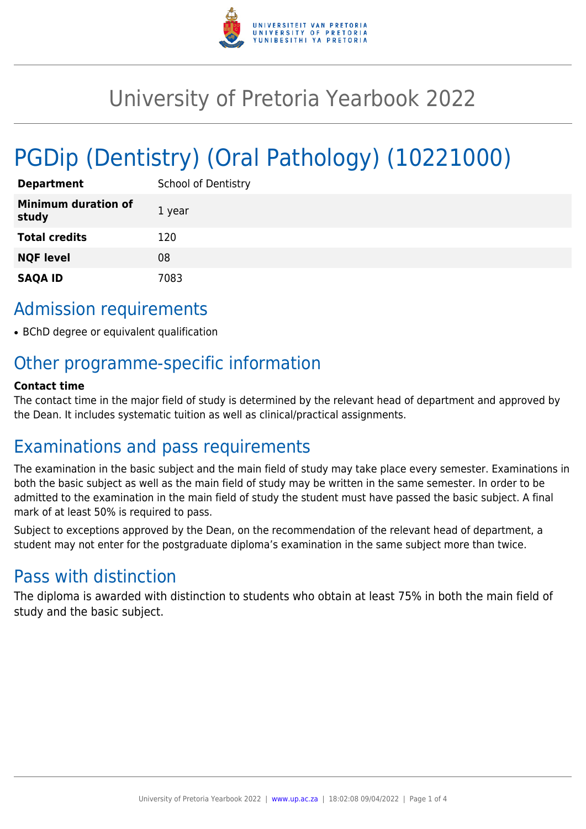

# University of Pretoria Yearbook 2022

# PGDip (Dentistry) (Oral Pathology) (10221000)

| <b>Department</b>                   | <b>School of Dentistry</b> |
|-------------------------------------|----------------------------|
| <b>Minimum duration of</b><br>study | 1 year                     |
| <b>Total credits</b>                | 120                        |
| <b>NQF level</b>                    | 08                         |
| <b>SAQA ID</b>                      | 7083                       |

# Admission requirements

• BChD degree or equivalent qualification

# Other programme-specific information

#### **Contact time**

The contact time in the major field of study is determined by the relevant head of department and approved by the Dean. It includes systematic tuition as well as clinical/practical assignments.

# Examinations and pass requirements

The examination in the basic subject and the main field of study may take place every semester. Examinations in both the basic subject as well as the main field of study may be written in the same semester. In order to be admitted to the examination in the main field of study the student must have passed the basic subject. A final mark of at least 50% is required to pass.

Subject to exceptions approved by the Dean, on the recommendation of the relevant head of department, a student may not enter for the postgraduate diploma's examination in the same subject more than twice.

# Pass with distinction

The diploma is awarded with distinction to students who obtain at least 75% in both the main field of study and the basic subject.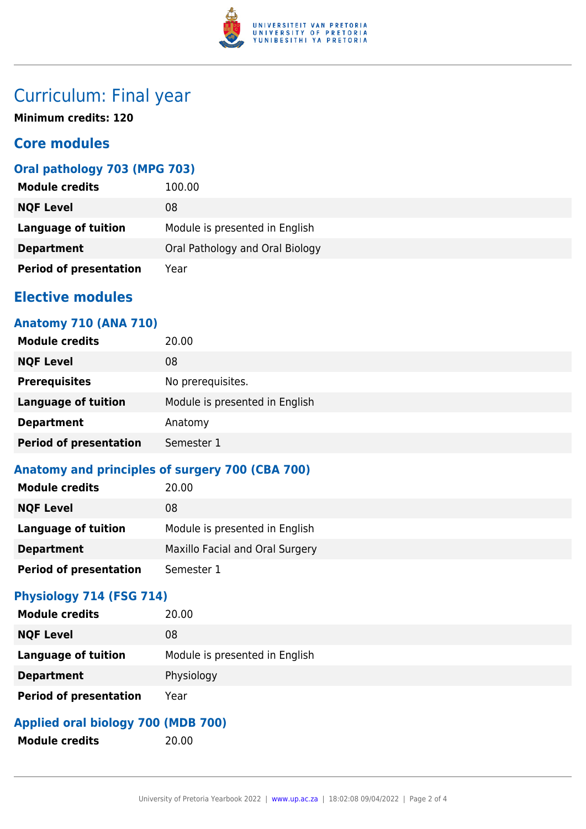

# Curriculum: Final year

**Minimum credits: 120**

## **Core modules**

## **Oral pathology 703 (MPG 703)**

| <b>Module credits</b>         | 100.00                          |
|-------------------------------|---------------------------------|
| <b>NQF Level</b>              | 08                              |
| Language of tuition           | Module is presented in English  |
| <b>Department</b>             | Oral Pathology and Oral Biology |
| <b>Period of presentation</b> | Year                            |

## **Elective modules**

### **Anatomy 710 (ANA 710)**

| <b>Module credits</b>         | 20.00                          |
|-------------------------------|--------------------------------|
| <b>NQF Level</b>              | 08                             |
| <b>Prerequisites</b>          | No prerequisites.              |
| <b>Language of tuition</b>    | Module is presented in English |
| <b>Department</b>             | Anatomy                        |
| <b>Period of presentation</b> | Semester 1                     |

## **Anatomy and principles of surgery 700 (CBA 700)**

| <b>Module credits</b>         | 20.00                           |
|-------------------------------|---------------------------------|
| <b>NQF Level</b>              | 08                              |
| <b>Language of tuition</b>    | Module is presented in English  |
| <b>Department</b>             | Maxillo Facial and Oral Surgery |
| <b>Period of presentation</b> | Semester 1                      |

#### **Physiology 714 (FSG 714)**

| <b>Module credits</b>         | 20.00                          |
|-------------------------------|--------------------------------|
| <b>NQF Level</b>              | 08                             |
| <b>Language of tuition</b>    | Module is presented in English |
| <b>Department</b>             | Physiology                     |
| <b>Period of presentation</b> | Year                           |

## **Applied oral biology 700 (MDB 700)**

**Module credits** 20.00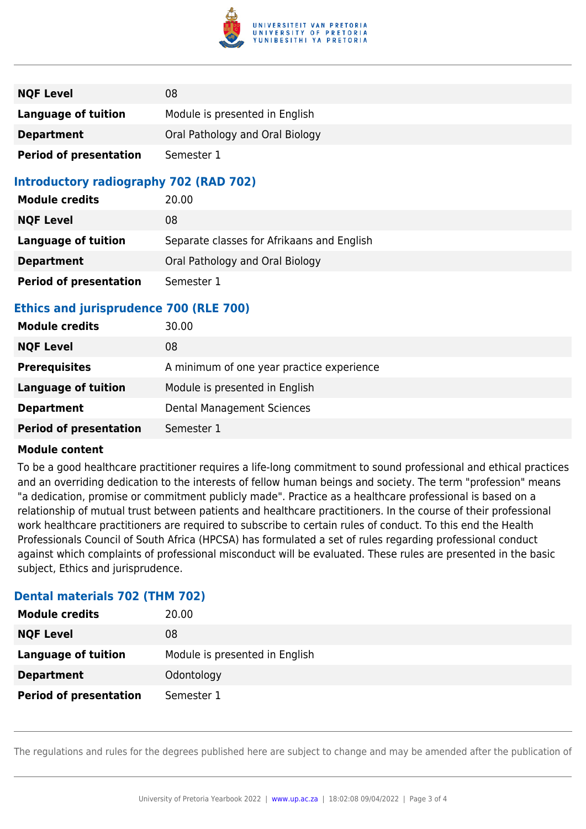

| <b>NQF Level</b>              | 08                              |
|-------------------------------|---------------------------------|
| <b>Language of tuition</b>    | Module is presented in English  |
| <b>Department</b>             | Oral Pathology and Oral Biology |
| <b>Period of presentation</b> | Semester 1                      |

### **Introductory radiography 702 (RAD 702)**

| <b>Module credits</b>         | 20.00                                      |
|-------------------------------|--------------------------------------------|
| <b>NQF Level</b>              | 08                                         |
| <b>Language of tuition</b>    | Separate classes for Afrikaans and English |
| <b>Department</b>             | Oral Pathology and Oral Biology            |
| <b>Period of presentation</b> | Semester 1                                 |

### **Ethics and jurisprudence 700 (RLE 700)**

| <b>Module credits</b>         | 30.00                                     |
|-------------------------------|-------------------------------------------|
| <b>NQF Level</b>              | 08                                        |
| <b>Prerequisites</b>          | A minimum of one year practice experience |
| Language of tuition           | Module is presented in English            |
| <b>Department</b>             | Dental Management Sciences                |
| <b>Period of presentation</b> | Semester 1                                |

#### **Module content**

To be a good healthcare practitioner requires a life-long commitment to sound professional and ethical practices and an overriding dedication to the interests of fellow human beings and society. The term "profession" means "a dedication, promise or commitment publicly made". Practice as a healthcare professional is based on a relationship of mutual trust between patients and healthcare practitioners. In the course of their professional work healthcare practitioners are required to subscribe to certain rules of conduct. To this end the Health Professionals Council of South Africa (HPCSA) has formulated a set of rules regarding professional conduct against which complaints of professional misconduct will be evaluated. These rules are presented in the basic subject, Ethics and jurisprudence.

#### **Dental materials 702 (THM 702)**

| <b>Module credits</b>         | 20.00                          |
|-------------------------------|--------------------------------|
| <b>NQF Level</b>              | 08                             |
| <b>Language of tuition</b>    | Module is presented in English |
| <b>Department</b>             | Odontology                     |
| <b>Period of presentation</b> | Semester 1                     |

The regulations and rules for the degrees published here are subject to change and may be amended after the publication of